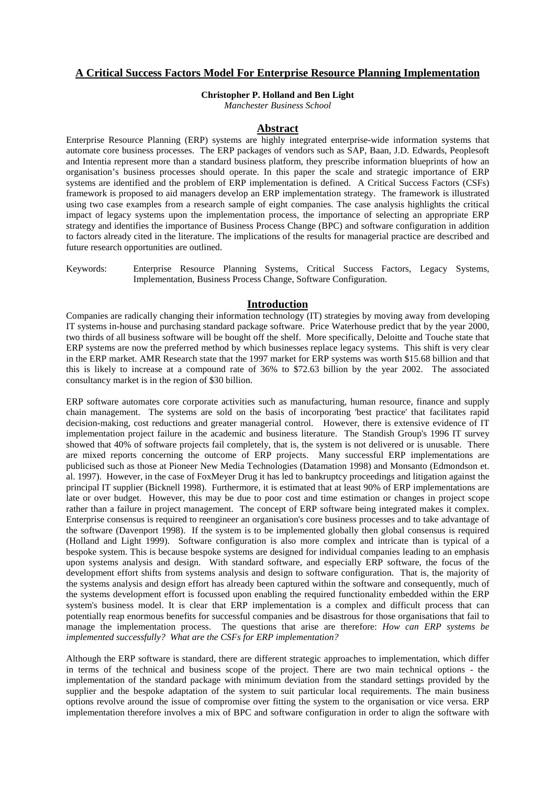# **A Critical Success Factors Model For Enterprise Resource Planning Implementation**

#### **Christopher P. Holland and Ben Light**

*Manchester Business School*

### **Abstract**

Enterprise Resource Planning (ERP) systems are highly integrated enterprise-wide information systems that automate core business processes. The ERP packages of vendors such as SAP, Baan, J.D. Edwards, Peoplesoft and Intentia represent more than a standard business platform, they prescribe information blueprints of how an organisation's business processes should operate. In this paper the scale and strategic importance of ERP systems are identified and the problem of ERP implementation is defined. A Critical Success Factors (CSFs) framework is proposed to aid managers develop an ERP implementation strategy. The framework is illustrated using two case examples from a research sample of eight companies. The case analysis highlights the critical impact of legacy systems upon the implementation process, the importance of selecting an appropriate ERP strategy and identifies the importance of Business Process Change (BPC) and software configuration in addition to factors already cited in the literature. The implications of the results for managerial practice are described and future research opportunities are outlined.

Keywords: Enterprise Resource Planning Systems, Critical Success Factors, Legacy Systems, Implementation, Business Process Change, Software Configuration.

## **Introduction**

Companies are radically changing their information technology (IT) strategies by moving away from developing IT systems in-house and purchasing standard package software. Price Waterhouse predict that by the year 2000, two thirds of all business software will be bought off the shelf. More specifically, Deloitte and Touche state that ERP systems are now the preferred method by which businesses replace legacy systems. This shift is very clear in the ERP market. AMR Research state that the 1997 market for ERP systems was worth \$15.68 billion and that this is likely to increase at a compound rate of 36% to \$72.63 billion by the year 2002. The associated consultancy market is in the region of \$30 billion.

ERP software automates core corporate activities such as manufacturing, human resource, finance and supply chain management. The systems are sold on the basis of incorporating 'best practice' that facilitates rapid decision-making, cost reductions and greater managerial control. However, there is extensive evidence of IT implementation project failure in the academic and business literature. The Standish Group's 1996 IT survey showed that 40% of software projects fail completely, that is, the system is not delivered or is unusable. There are mixed reports concerning the outcome of ERP projects. Many successful ERP implementations are publicised such as those at Pioneer New Media Technologies (Datamation 1998) and Monsanto (Edmondson et. al. 1997). However, in the case of FoxMeyer Drug it has led to bankruptcy proceedings and litigation against the principal IT supplier (Bicknell 1998). Furthermore, it is estimated that at least 90% of ERP implementations are late or over budget. However, this may be due to poor cost and time estimation or changes in project scope rather than a failure in project management. The concept of ERP software being integrated makes it complex. Enterprise consensus is required to reengineer an organisation's core business processes and to take advantage of the software (Davenport 1998). If the system is to be implemented globally then global consensus is required (Holland and Light 1999). Software configuration is also more complex and intricate than is typical of a bespoke system. This is because bespoke systems are designed for individual companies leading to an emphasis upon systems analysis and design. With standard software, and especially ERP software, the focus of the development effort shifts from systems analysis and design to software configuration. That is, the majority of the systems analysis and design effort has already been captured within the software and consequently, much of the systems development effort is focussed upon enabling the required functionality embedded within the ERP system's business model. It is clear that ERP implementation is a complex and difficult process that can potentially reap enormous benefits for successful companies and be disastrous for those organisations that fail to manage the implementation process. The questions that arise are therefore: *How can ERP systems be implemented successfully? What are the CSFs for ERP implementation?*

Although the ERP software is standard, there are different strategic approaches to implementation, which differ in terms of the technical and business scope of the project. There are two main technical options - the implementation of the standard package with minimum deviation from the standard settings provided by the supplier and the bespoke adaptation of the system to suit particular local requirements. The main business options revolve around the issue of compromise over fitting the system to the organisation or vice versa. ERP implementation therefore involves a mix of BPC and software configuration in order to align the software with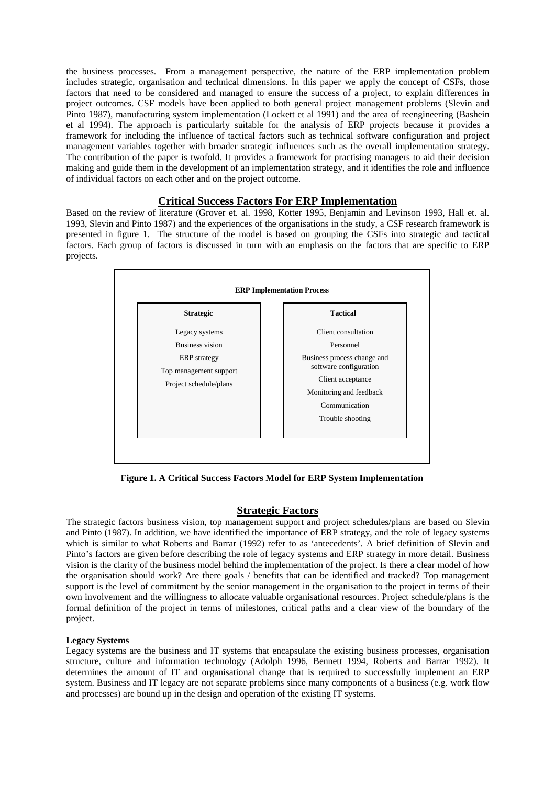the business processes. From a management perspective, the nature of the ERP implementation problem includes strategic, organisation and technical dimensions. In this paper we apply the concept of CSFs, those factors that need to be considered and managed to ensure the success of a project, to explain differences in project outcomes. CSF models have been applied to both general project management problems (Slevin and Pinto 1987), manufacturing system implementation (Lockett et al 1991) and the area of reengineering (Bashein et al 1994). The approach is particularly suitable for the analysis of ERP projects because it provides a framework for including the influence of tactical factors such as technical software configuration and project management variables together with broader strategic influences such as the overall implementation strategy. The contribution of the paper is twofold. It provides a framework for practising managers to aid their decision making and guide them in the development of an implementation strategy, and it identifies the role and influence of individual factors on each other and on the project outcome.

# **Critical Success Factors For ERP Implementation**

Based on the review of literature (Grover et. al. 1998, Kotter 1995, Benjamin and Levinson 1993, Hall et. al. 1993, Slevin and Pinto 1987) and the experiences of the organisations in the study, a CSF research framework is presented in figure 1. The structure of the model is based on grouping the CSFs into strategic and tactical factors. Each group of factors is discussed in turn with an emphasis on the factors that are specific to ERP projects.



**Figure 1. A Critical Success Factors Model for ERP System Implementation**

# **Strategic Factors**

The strategic factors business vision, top management support and project schedules/plans are based on Slevin and Pinto (1987). In addition, we have identified the importance of ERP strategy, and the role of legacy systems which is similar to what Roberts and Barrar (1992) refer to as 'antecedents'. A brief definition of Slevin and Pinto's factors are given before describing the role of legacy systems and ERP strategy in more detail. Business vision is the clarity of the business model behind the implementation of the project. Is there a clear model of how the organisation should work? Are there goals / benefits that can be identified and tracked? Top management support is the level of commitment by the senior management in the organisation to the project in terms of their own involvement and the willingness to allocate valuable organisational resources. Project schedule/plans is the formal definition of the project in terms of milestones, critical paths and a clear view of the boundary of the project.

## **Legacy Systems**

Legacy systems are the business and IT systems that encapsulate the existing business processes, organisation structure, culture and information technology (Adolph 1996, Bennett 1994, Roberts and Barrar 1992). It determines the amount of IT and organisational change that is required to successfully implement an ERP system. Business and IT legacy are not separate problems since many components of a business (e.g. work flow and processes) are bound up in the design and operation of the existing IT systems.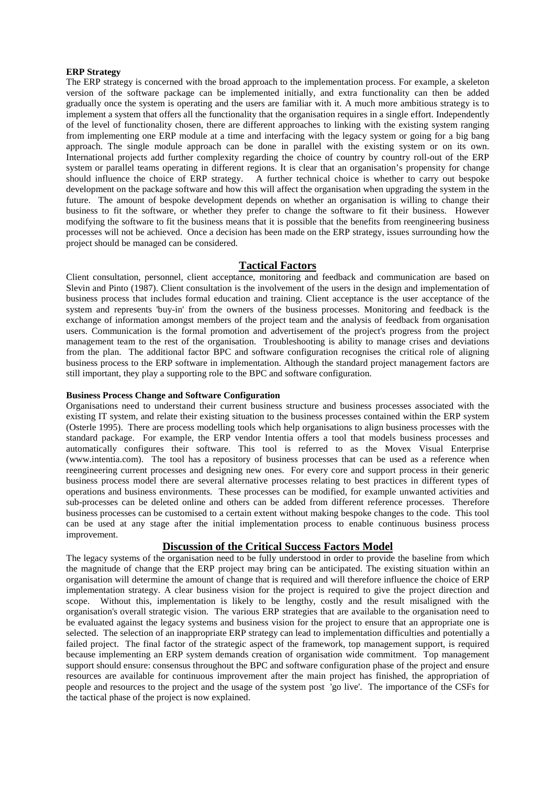#### **ERP Strategy**

The ERP strategy is concerned with the broad approach to the implementation process. For example, a skeleton version of the software package can be implemented initially, and extra functionality can then be added gradually once the system is operating and the users are familiar with it. A much more ambitious strategy is to implement a system that offers all the functionality that the organisation requires in a single effort. Independently of the level of functionality chosen, there are different approaches to linking with the existing system ranging from implementing one ERP module at a time and interfacing with the legacy system or going for a big bang approach. The single module approach can be done in parallel with the existing system or on its own. International projects add further complexity regarding the choice of country by country roll-out of the ERP system or parallel teams operating in different regions. It is clear that an organisation's propensity for change should influence the choice of ERP strategy. A further technical choice is whether to carry out bespoke development on the package software and how this will affect the organisation when upgrading the system in the future. The amount of bespoke development depends on whether an organisation is willing to change their business to fit the software, or whether they prefer to change the software to fit their business. However modifying the software to fit the business means that it is possible that the benefits from reengineering business processes will not be achieved. Once a decision has been made on the ERP strategy, issues surrounding how the project should be managed can be considered.

### **Tactical Factors**

Client consultation, personnel, client acceptance, monitoring and feedback and communication are based on Slevin and Pinto (1987). Client consultation is the involvement of the users in the design and implementation of business process that includes formal education and training. Client acceptance is the user acceptance of the system and represents 'buy-in' from the owners of the business processes. Monitoring and feedback is the exchange of information amongst members of the project team and the analysis of feedback from organisation users. Communication is the formal promotion and advertisement of the project's progress from the project management team to the rest of the organisation. Troubleshooting is ability to manage crises and deviations from the plan. The additional factor BPC and software configuration recognises the critical role of aligning business process to the ERP software in implementation. Although the standard project management factors are still important, they play a supporting role to the BPC and software configuration.

## **Business Process Change and Software Configuration**

Organisations need to understand their current business structure and business processes associated with the existing IT system, and relate their existing situation to the business processes contained within the ERP system (Osterle 1995). There are process modelling tools which help organisations to align business processes with the standard package. For example, the ERP vendor Intentia offers a tool that models business processes and automatically configures their software. This tool is referred to as the Movex Visual Enterprise (www.intentia.com). The tool has a repository of business processes that can be used as a reference when reengineering current processes and designing new ones. For every core and support process in their generic business process model there are several alternative processes relating to best practices in different types of operations and business environments. These processes can be modified, for example unwanted activities and sub-processes can be deleted online and others can be added from different reference processes. Therefore business processes can be customised to a certain extent without making bespoke changes to the code. This tool can be used at any stage after the initial implementation process to enable continuous business process improvement.

# **Discussion of the Critical Success Factors Model**

The legacy systems of the organisation need to be fully understood in order to provide the baseline from which the magnitude of change that the ERP project may bring can be anticipated. The existing situation within an organisation will determine the amount of change that is required and will therefore influence the choice of ERP implementation strategy. A clear business vision for the project is required to give the project direction and scope. Without this, implementation is likely to be lengthy, costly and the result misaligned with the organisation's overall strategic vision. The various ERP strategies that are available to the organisation need to be evaluated against the legacy systems and business vision for the project to ensure that an appropriate one is selected. The selection of an inappropriate ERP strategy can lead to implementation difficulties and potentially a failed project. The final factor of the strategic aspect of the framework, top management support, is required because implementing an ERP system demands creation of organisation wide commitment. Top management support should ensure: consensus throughout the BPC and software configuration phase of the project and ensure resources are available for continuous improvement after the main project has finished, the appropriation of people and resources to the project and the usage of the system post 'go live'. The importance of the CSFs for the tactical phase of the project is now explained.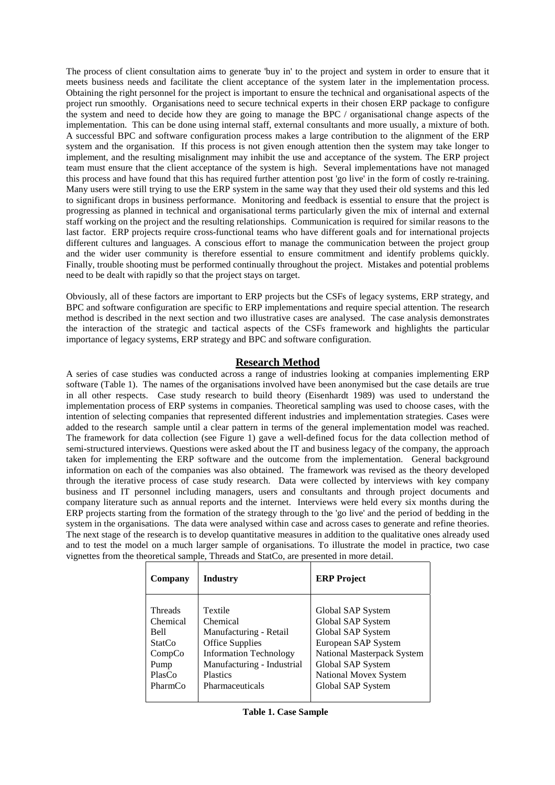The process of client consultation aims to generate 'buy in' to the project and system in order to ensure that it meets business needs and facilitate the client acceptance of the system later in the implementation process. Obtaining the right personnel for the project is important to ensure the technical and organisational aspects of the project run smoothly. Organisations need to secure technical experts in their chosen ERP package to configure the system and need to decide how they are going to manage the BPC / organisational change aspects of the implementation. This can be done using internal staff, external consultants and more usually, a mixture of both. A successful BPC and software configuration process makes a large contribution to the alignment of the ERP system and the organisation. If this process is not given enough attention then the system may take longer to implement, and the resulting misalignment may inhibit the use and acceptance of the system. The ERP project team must ensure that the client acceptance of the system is high. Several implementations have not managed this process and have found that this has required further attention post 'go live' in the form of costly re-training. Many users were still trying to use the ERP system in the same way that they used their old systems and this led to significant drops in business performance. Monitoring and feedback is essential to ensure that the project is progressing as planned in technical and organisational terms particularly given the mix of internal and external staff working on the project and the resulting relationships. Communication is required for similar reasons to the last factor. ERP projects require cross-functional teams who have different goals and for international projects different cultures and languages. A conscious effort to manage the communication between the project group and the wider user community is therefore essential to ensure commitment and identify problems quickly. Finally, trouble shooting must be performed continually throughout the project. Mistakes and potential problems need to be dealt with rapidly so that the project stays on target.

Obviously, all of these factors are important to ERP projects but the CSFs of legacy systems, ERP strategy, and BPC and software configuration are specific to ERP implementations and require special attention. The research method is described in the next section and two illustrative cases are analysed. The case analysis demonstrates the interaction of the strategic and tactical aspects of the CSFs framework and highlights the particular importance of legacy systems, ERP strategy and BPC and software configuration.

# **Research Method**

A series of case studies was conducted across a range of industries looking at companies implementing ERP software (Table 1). The names of the organisations involved have been anonymised but the case details are true in all other respects. Case study research to build theory (Eisenhardt 1989) was used to understand the implementation process of ERP systems in companies. Theoretical sampling was used to choose cases, with the intention of selecting companies that represented different industries and implementation strategies. Cases were added to the research sample until a clear pattern in terms of the general implementation model was reached. The framework for data collection (see Figure 1) gave a well-defined focus for the data collection method of semi-structured interviews. Questions were asked about the IT and business legacy of the company, the approach taken for implementing the ERP software and the outcome from the implementation. General background information on each of the companies was also obtained. The framework was revised as the theory developed through the iterative process of case study research. Data were collected by interviews with key company business and IT personnel including managers, users and consultants and through project documents and company literature such as annual reports and the internet. Interviews were held every six months during the ERP projects starting from the formation of the strategy through to the 'go live' and the period of bedding in the system in the organisations. The data were analysed within case and across cases to generate and refine theories. The next stage of the research is to develop quantitative measures in addition to the qualitative ones already used and to test the model on a much larger sample of organisations. To illustrate the model in practice, two case vignettes from the theoretical sample, Threads and StatCo, are presented in more detail.

| Company        | <b>Industry</b>               | <b>ERP</b> Project                |
|----------------|-------------------------------|-----------------------------------|
| <b>Threads</b> | Textile                       |                                   |
|                |                               | Global SAP System                 |
| Chemical       | Chemical                      | Global SAP System                 |
| Bell           | Manufacturing - Retail        | Global SAP System                 |
| <b>StatCo</b>  | <b>Office Supplies</b>        | European SAP System               |
| CompCo         | <b>Information Technology</b> | <b>National Masterpack System</b> |
| Pump           | Manufacturing - Industrial    | Global SAP System                 |
| PlasCo         | <b>Plastics</b>               | National Movex System             |
| PharmCo        | Pharmaceuticals               | Global SAP System                 |
|                |                               |                                   |

**Table 1. Case Sample**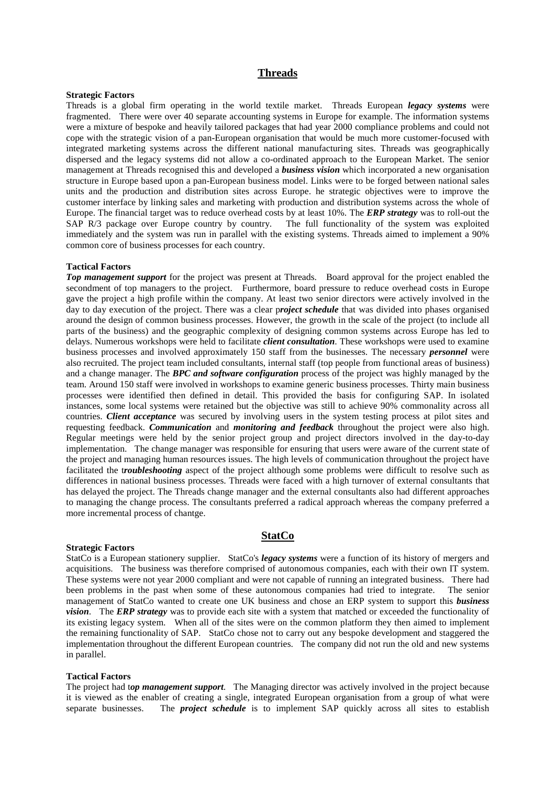# **Threads**

#### **Strategic Factors**

Threads is a global firm operating in the world textile market. Threads European *legacy systems* were fragmented. There were over 40 separate accounting systems in Europe for example. The information systems were a mixture of bespoke and heavily tailored packages that had year 2000 compliance problems and could not cope with the strategic vision of a pan-European organisation that would be much more customer-focused with integrated marketing systems across the different national manufacturing sites. Threads was geographically dispersed and the legacy systems did not allow a co-ordinated approach to the European Market. The senior management at Threads recognised this and developed a *business vision* which incorporated a new organisation structure in Europe based upon a pan-European business model. Links were to be forged between national sales units and the production and distribution sites across Europe. he strategic objectives were to improve the customer interface by linking sales and marketing with production and distribution systems across the whole of Europe. The financial target was to reduce overhead costs by at least 10%. The *ERP strategy* was to roll-out the SAP R/3 package over Europe country by country. The full functionality of the system was exploited immediately and the system was run in parallel with the existing systems. Threads aimed to implement a 90% common core of business processes for each country.

#### **Tactical Factors**

*Top management support* for the project was present at Threads. Board approval for the project enabled the secondment of top managers to the project. Furthermore, board pressure to reduce overhead costs in Europe gave the project a high profile within the company. At least two senior directors were actively involved in the day to day execution of the project. There was a clear p*roject schedule* that was divided into phases organised around the design of common business processes. However, the growth in the scale of the project (to include all parts of the business) and the geographic complexity of designing common systems across Europe has led to delays. Numerous workshops were held to facilitate *client consultation*. These workshops were used to examine business processes and involved approximately 150 staff from the businesses. The necessary *personnel* were also recruited. The project team included consultants, internal staff (top people from functional areas of business) and a change manager. The *BPC and software configuration* process of the project was highly managed by the team. Around 150 staff were involved in workshops to examine generic business processes. Thirty main business processes were identified then defined in detail. This provided the basis for configuring SAP. In isolated instances, some local systems were retained but the objective was still to achieve 90% commonality across all countries. *Client acceptance* was secured by involving users in the system testing process at pilot sites and requesting feedback. *Communication* and *monitoring and feedback* throughout the project were also high. Regular meetings were held by the senior project group and project directors involved in the day-to-day implementation. The change manager was responsible for ensuring that users were aware of the current state of the project and managing human resources issues. The high levels of communication throughout the project have facilitated the t*roubleshooting* aspect of the project although some problems were difficult to resolve such as differences in national business processes. Threads were faced with a high turnover of external consultants that has delayed the project. The Threads change manager and the external consultants also had different approaches to managing the change process. The consultants preferred a radical approach whereas the company preferred a more incremental process of chantge.

### **StatCo**

### **Strategic Factors**

StatCo is a European stationery supplier. StatCo's *legacy systems* were a function of its history of mergers and acquisitions. The business was therefore comprised of autonomous companies, each with their own IT system. These systems were not year 2000 compliant and were not capable of running an integrated business. There had been problems in the past when some of these autonomous companies had tried to integrate. The senior management of StatCo wanted to create one UK business and chose an ERP system to support this *business vision*. The *ERP strategy* was to provide each site with a system that matched or exceeded the functionality of its existing legacy system. When all of the sites were on the common platform they then aimed to implement the remaining functionality of SAP. StatCo chose not to carry out any bespoke development and staggered the implementation throughout the different European countries. The company did not run the old and new systems in parallel.

### **Tactical Factors**

The project had t*op management support*. The Managing director was actively involved in the project because it is viewed as the enabler of creating a single, integrated European organisation from a group of what were separate businesses. The *project schedule* is to implement SAP quickly across all sites to establish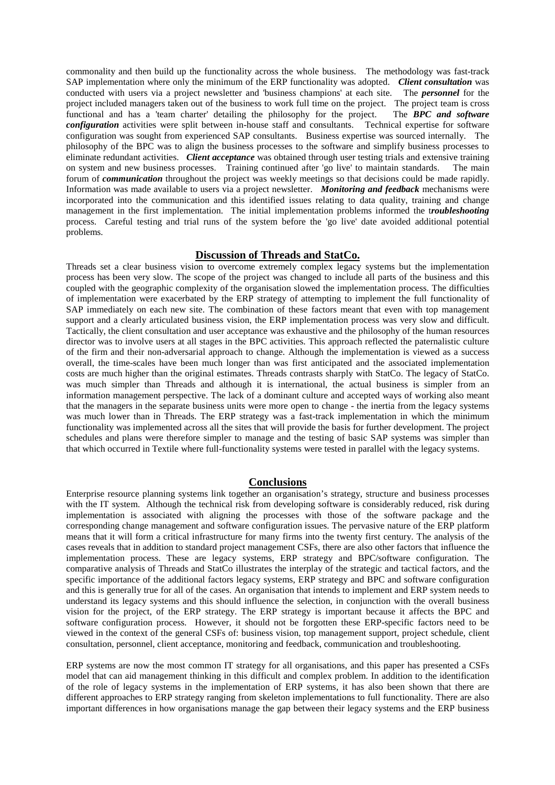commonality and then build up the functionality across the whole business. The methodology was fast-track SAP implementation where only the minimum of the ERP functionality was adopted. *Client consultation* was conducted with users via a project newsletter and 'business champions' at each site. The *personnel* for the project included managers taken out of the business to work full time on the project. The project team is cross functional and has a 'team charter' detailing the philosophy for the project. The *BPC and software configuration* activities were split between in-house staff and consultants. Technical expertise for software configuration was sought from experienced SAP consultants. Business expertise was sourced internally. The philosophy of the BPC was to align the business processes to the software and simplify business processes to eliminate redundant activities. *Client acceptance* was obtained through user testing trials and extensive training on system and new business processes. Training continued after 'go live' to maintain standards. The main forum of *communication* throughout the project was weekly meetings so that decisions could be made rapidly. Information was made available to users via a project newsletter. *Monitoring and feedback* mechanisms were incorporated into the communication and this identified issues relating to data quality, training and change management in the first implementation. The initial implementation problems informed the t*roubleshooting* process. Careful testing and trial runs of the system before the 'go live' date avoided additional potential problems.

## **Discussion of Threads and StatCo.**

Threads set a clear business vision to overcome extremely complex legacy systems but the implementation process has been very slow. The scope of the project was changed to include all parts of the business and this coupled with the geographic complexity of the organisation slowed the implementation process. The difficulties of implementation were exacerbated by the ERP strategy of attempting to implement the full functionality of SAP immediately on each new site. The combination of these factors meant that even with top management support and a clearly articulated business vision, the ERP implementation process was very slow and difficult. Tactically, the client consultation and user acceptance was exhaustive and the philosophy of the human resources director was to involve users at all stages in the BPC activities. This approach reflected the paternalistic culture of the firm and their non-adversarial approach to change. Although the implementation is viewed as a success overall, the time-scales have been much longer than was first anticipated and the associated implementation costs are much higher than the original estimates. Threads contrasts sharply with StatCo. The legacy of StatCo. was much simpler than Threads and although it is international, the actual business is simpler from an information management perspective. The lack of a dominant culture and accepted ways of working also meant that the managers in the separate business units were more open to change - the inertia from the legacy systems was much lower than in Threads. The ERP strategy was a fast-track implementation in which the minimum functionality was implemented across all the sites that will provide the basis for further development. The project schedules and plans were therefore simpler to manage and the testing of basic SAP systems was simpler than that which occurred in Textile where full-functionality systems were tested in parallel with the legacy systems.

### **Conclusions**

Enterprise resource planning systems link together an organisation's strategy, structure and business processes with the IT system. Although the technical risk from developing software is considerably reduced, risk during implementation is associated with aligning the processes with those of the software package and the corresponding change management and software configuration issues. The pervasive nature of the ERP platform means that it will form a critical infrastructure for many firms into the twenty first century. The analysis of the cases reveals that in addition to standard project management CSFs, there are also other factors that influence the implementation process. These are legacy systems, ERP strategy and BPC/software configuration. The comparative analysis of Threads and StatCo illustrates the interplay of the strategic and tactical factors, and the specific importance of the additional factors legacy systems, ERP strategy and BPC and software configuration and this is generally true for all of the cases. An organisation that intends to implement and ERP system needs to understand its legacy systems and this should influence the selection, in conjunction with the overall business vision for the project, of the ERP strategy. The ERP strategy is important because it affects the BPC and software configuration process. However, it should not be forgotten these ERP-specific factors need to be viewed in the context of the general CSFs of: business vision, top management support, project schedule, client consultation, personnel, client acceptance, monitoring and feedback, communication and troubleshooting.

ERP systems are now the most common IT strategy for all organisations, and this paper has presented a CSFs model that can aid management thinking in this difficult and complex problem. In addition to the identification of the role of legacy systems in the implementation of ERP systems, it has also been shown that there are different approaches to ERP strategy ranging from skeleton implementations to full functionality. There are also important differences in how organisations manage the gap between their legacy systems and the ERP business